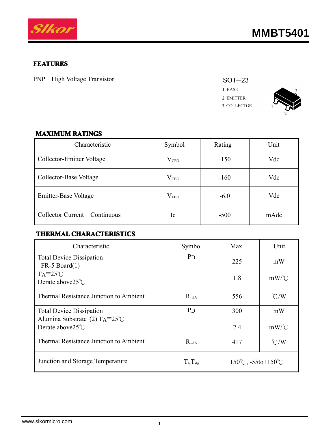

#### **FEATURES**

PNP High Voltage Transistor





### **MAXIMUM MAXIMUM MAXIMUMMAXIMUMRATINGS RATINGS**

| Characteristic               | Symbol         | Rating | Unit |
|------------------------------|----------------|--------|------|
| Collector-Emitter Voltage    | $\rm V_{CEO}$  | $-150$ | Vdc  |
| Collector-Base Voltage       | $\rm V_{CBO}$  | $-160$ | Vdc  |
| Emitter-Base Voltage         | $\rm V_{EBO}$  | $-6.0$ | Vdc  |
| Collector Current-Continuous | <sub>1</sub> c | $-500$ | mAdc |

#### **THERMAL THERMALTHERMAL CHARACTERISTICS CHARACTERISTICS**

| Characteristic                                                            | Symbol          | Max                                        | Unit          |
|---------------------------------------------------------------------------|-----------------|--------------------------------------------|---------------|
| <b>Total Device Dissipation</b><br>$FR-5$ Board $(1)$                     | $P_{D}$         | 225                                        | mW            |
| $TA=25^{\circ}C$<br>Derate above $25^{\circ}$ C                           |                 | 1.8                                        | $mW$ /°C      |
| Thermal Resistance Junction to Ambient                                    | $R_{\theta}$ ja | 556                                        | $\degree$ C/W |
| <b>Total Device Dissipation</b><br>Alumina Substrate (2) $TA=25^{\circ}C$ | $P_{D}$         | 300                                        | mW            |
| Derate above $25^{\circ}$ C                                               |                 | 2.4                                        | $mW$ /°C      |
| Thermal Resistance Junction to Ambient                                    | $R_{\theta$ JA  | 417                                        | $\degree$ C/W |
| Junction and Storage Temperature                                          | $T_J, T_{stg}$  | $150^{\circ}$ C, $-55$ to $+150^{\circ}$ C |               |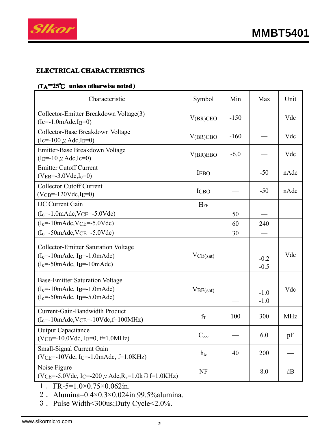

### **ELECTRICAL ELECTRICAL ELECTRICALCHARACTERISTICS CHARACTERISTICS CHARACTERISTICS**

## **(TA<sup>=</sup>25**℃ **unless otherwise otherwise noted )**

| Characteristic                                                                                                                                                  | Symbol          | Min    | Max              | Unit       |
|-----------------------------------------------------------------------------------------------------------------------------------------------------------------|-----------------|--------|------------------|------------|
| Collector-Emitter Breakdown Voltage(3)<br>$(Ic=-1.0 \text{m} \text{A} dc, I_B=0)$                                                                               | $V(BR)$ CEO     | $-150$ |                  | Vdc        |
| Collector-Base Breakdown Voltage<br>$(Ic=-100 \mu \text{ Adc}, IE=0)$                                                                                           | V(BR)CBO        | $-160$ |                  | Vdc        |
| Emitter-Base Breakdown Voltage<br>$(I_E = -10 \mu \text{ Adc}, I_C = 0)$                                                                                        | V(BR)EBO        | $-6.0$ |                  | Vdc        |
| <b>Emitter Cutoff Current</b><br>$(VEB=-3.0 Vdc, I_c=0)$                                                                                                        | <b>IEBO</b>     |        | $-50$            | nAdc       |
| <b>Collector Cutoff Current</b><br>$(VCB=-120Vdc,IE=0)$                                                                                                         | <b>ICBO</b>     |        | $-50$            | nAdc       |
| <b>DC</b> Current Gain                                                                                                                                          | $H_{FE}$        |        |                  |            |
| $(I_c = -1.0 \text{m} \text{A} \text{d}c$ , $V_{CE} = -5.0 \text{V} \text{d}c$                                                                                  |                 | 50     |                  |            |
| $(I_c = -10 \text{m} \text{Adc}, V_{CE} = -5.0 \text{Vdc})$                                                                                                     |                 | 60     | 240              |            |
| $(I_c = -50$ mAdc, VCE $= -5.0$ Vdc)                                                                                                                            |                 | 30     |                  |            |
| <b>Collector-Emitter Saturation Voltage</b><br>$(I_c = -10 \text{m} \text{Ad}c, I_B = -1.0 \text{m} \text{Ad}c)$<br>$(I_c = -50$ mAdc, I <sub>B</sub> =-10mAdc) | VCE(sat)        |        | $-0.2$<br>$-0.5$ | Vdc        |
| <b>Base-Emitter Saturation Voltage</b><br>$(I_c=-10mAdc, I_B=-1.0mAdc)$<br>$(I_c = -50$ mAdc, I <sub>B</sub> = $-5.0$ mAdc)                                     | VBE(sat)        |        | $-1.0$<br>$-1.0$ | Vdc        |
| <b>Current-Gain-Bandwidth Product</b><br>$(I_c=-10 \text{m} \text{A} \text{d}c$ , $V_{CE}=-10 \text{V} \text{d}c$ , $f=100 \text{MHz}$                          | $f_T$           | 100    | 300              | <b>MHz</b> |
| <b>Output Capacitance</b><br>$(VCB=-10.0Vdc, IE=0, f=1.0MHz)$                                                                                                   | $C_{\rm obo}$   |        | 6.0              | pF         |
| Small-Signal Current Gain<br>$(VCE=-10Vdc, IC=-1.0mAdc, f=1.0KHz)$                                                                                              | $h_{\text{fe}}$ | 40     | 200              |            |
| Noise Figure<br>$(VCE=-5.0Vdc, IC=-200 \mu \text{ Adc}, R_s=1.0k \Omega f=1.0KHz)$                                                                              | <b>NF</b>       |        | 8.0              | dB         |

1. FR-5=1.0×0.75×0.062in.

2.Alumina=0.4×0.3×0.024in.99.5%alumina.

3. Pulse Width <a><a>300us;<br/>Duty Cycle<br/><</a></a>.